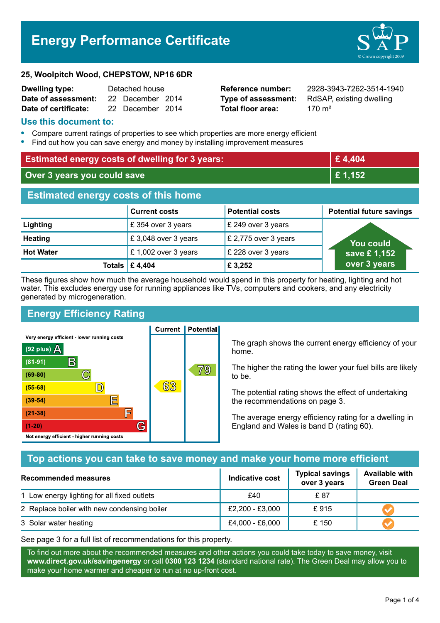# **Energy Performance Certificate**



#### **25, Woolpitch Wood, CHEPSTOW, NP16 6DR**

| <b>Dwelling type:</b> | Detached house |                  |  |
|-----------------------|----------------|------------------|--|
| Date of assessment:   |                | 22 December 2014 |  |
| Date of certificate:  |                | 22 December 2014 |  |

**Total floor area:** 270 m<sup>2</sup>

**Reference number:** 2928-3943-7262-3514-1940 **Type of assessment:** RdSAP, existing dwelling

#### **Use this document to:**

- **•** Compare current ratings of properties to see which properties are more energy efficient
- **•** Find out how you can save energy and money by installing improvement measures

| <b>Estimated energy costs of dwelling for 3 years:</b> |                      |                        | £4,404                          |
|--------------------------------------------------------|----------------------|------------------------|---------------------------------|
| Over 3 years you could save                            |                      | £1,152                 |                                 |
| <b>Estimated energy costs of this home</b>             |                      |                        |                                 |
|                                                        | <b>Current costs</b> | <b>Potential costs</b> | <b>Potential future savings</b> |
| Lighting                                               | £354 over 3 years    | £ 249 over 3 years     |                                 |
| <b>Heating</b>                                         | £3,048 over 3 years  | £ 2,775 over 3 years   | You could                       |
| <b>Hot Water</b>                                       | £ 1,002 over 3 years | £ 228 over 3 years     | save £1,152                     |
| <b>Totals</b>                                          | £4,404               | £ 3,252                | over 3 years                    |

These figures show how much the average household would spend in this property for heating, lighting and hot water. This excludes energy use for running appliances like TVs, computers and cookers, and any electricity generated by microgeneration.

**Current | Potential** 

### **Energy Efficiency Rating**

Very energy efficient - lower running costs



The graph shows the current energy efficiency of your home.

The higher the rating the lower your fuel bills are likely to be.

The potential rating shows the effect of undertaking the recommendations on page 3.

The average energy efficiency rating for a dwelling in England and Wales is band D (rating 60).

#### **Top actions you can take to save money and make your home more efficient**

| <b>Recommended measures</b>                 | Indicative cost | <b>Typical savings</b><br>over 3 years | <b>Available with</b><br><b>Green Deal</b> |
|---------------------------------------------|-----------------|----------------------------------------|--------------------------------------------|
| 1 Low energy lighting for all fixed outlets | £40             | £ 87                                   |                                            |
| 2 Replace boiler with new condensing boiler | £2,200 - £3,000 | £915                                   |                                            |
| 3 Solar water heating                       | £4,000 - £6,000 | £ 150                                  |                                            |

See page 3 for a full list of recommendations for this property.

To find out more about the recommended measures and other actions you could take today to save money, visit **www.direct.gov.uk/savingenergy** or call **0300 123 1234** (standard national rate). The Green Deal may allow you to make your home warmer and cheaper to run at no up-front cost.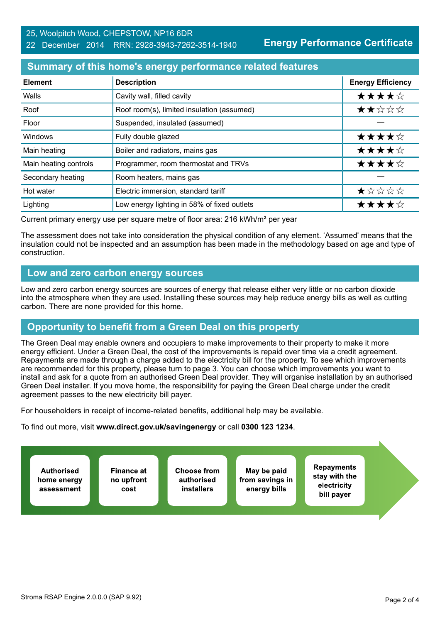#### 25, Woolpitch Wood, CHEPSTOW, NP16 6DR

#### 22 December 2014 RRN: 2928-3943-7262-3514-1940

**Energy Performance Certificate**

#### **Summary of this home's energy performance related features**

| <b>Element</b>        | <b>Description</b>                          | <b>Energy Efficiency</b>                      |
|-----------------------|---------------------------------------------|-----------------------------------------------|
| Walls                 | Cavity wall, filled cavity                  | ★★★★☆                                         |
| Roof                  | Roof room(s), limited insulation (assumed)  | ★★☆☆☆                                         |
| Floor                 | Suspended, insulated (assumed)              |                                               |
| Windows               | Fully double glazed                         | ★★★★☆                                         |
| Main heating          | Boiler and radiators, mains gas             | ★★★★☆                                         |
| Main heating controls | Programmer, room thermostat and TRVs        | ★★★★☆                                         |
| Secondary heating     | Room heaters, mains gas                     |                                               |
| Hot water             | Electric immersion, standard tariff         | $\bigstar \times \times \times \times \times$ |
| Lighting              | Low energy lighting in 58% of fixed outlets | ★★★★☆                                         |

Current primary energy use per square metre of floor area: 216 kWh/m² per year

The assessment does not take into consideration the physical condition of any element. 'Assumed' means that the insulation could not be inspected and an assumption has been made in the methodology based on age and type of construction.

#### **Low and zero carbon energy sources**

Low and zero carbon energy sources are sources of energy that release either very little or no carbon dioxide into the atmosphere when they are used. Installing these sources may help reduce energy bills as well as cutting carbon. There are none provided for this home.

### **Opportunity to benefit from a Green Deal on this property**

The Green Deal may enable owners and occupiers to make improvements to their property to make it more energy efficient. Under a Green Deal, the cost of the improvements is repaid over time via a credit agreement. Repayments are made through a charge added to the electricity bill for the property. To see which improvements are recommended for this property, please turn to page 3. You can choose which improvements you want to install and ask for a quote from an authorised Green Deal provider. They will organise installation by an authorised Green Deal installer. If you move home, the responsibility for paying the Green Deal charge under the credit agreement passes to the new electricity bill payer.

For householders in receipt of income-related benefits, additional help may be available.

To find out more, visit **www.direct.gov.uk/savingenergy** or call **0300 123 1234**.

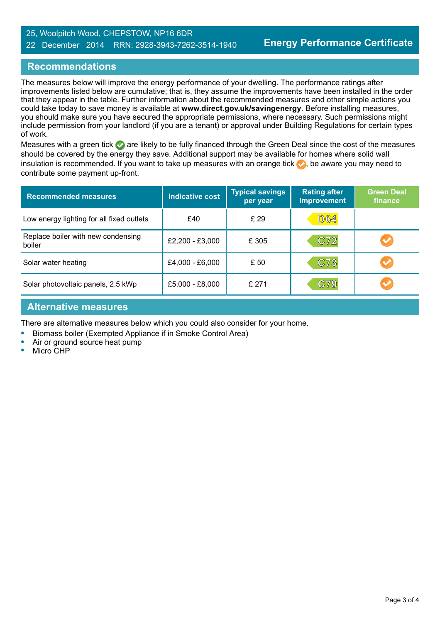#### 25, Woolpitch Wood, CHEPSTOW, NP16 6DR

#### 22 December 2014 RRN: 2928-3943-7262-3514-1940

#### **Recommendations**

The measures below will improve the energy performance of your dwelling. The performance ratings after improvements listed below are cumulative; that is, they assume the improvements have been installed in the order that they appear in the table. Further information about the recommended measures and other simple actions you could take today to save money is available at **www.direct.gov.uk/savingenergy**. Before installing measures, you should make sure you have secured the appropriate permissions, where necessary. Such permissions might include permission from your landlord (if you are a tenant) or approval under Building Regulations for certain types of work.

Measures with a green tick are likely to be fully financed through the Green Deal since the cost of the measures should be covered by the energy they save. Additional support may be available for homes where solid wall insulation is recommended. If you want to take up measures with an orange tick  $\bullet$ , be aware you may need to contribute some payment up-front.

| <b>Recommended measures</b>                  | <b>Indicative cost</b> | <b>Typical savings</b><br>per year | <b>Rating after</b><br><b>improvement</b> | <b>Green Deal</b><br>finance |
|----------------------------------------------|------------------------|------------------------------------|-------------------------------------------|------------------------------|
| Low energy lighting for all fixed outlets    | £40                    | £ 29                               | <b>D64</b>                                |                              |
| Replace boiler with new condensing<br>boiler | £2,200 - £3,000        | £ 305                              | C72                                       |                              |
| Solar water heating                          | £4,000 - £6,000        | £ 50                               | C73                                       |                              |
| Solar photovoltaic panels, 2.5 kWp           | £5,000 - £8,000        | £ 271                              | C79                                       |                              |

#### **Alternative measures**

There are alternative measures below which you could also consider for your home.

**•** Biomass boiler (Exempted Appliance if in Smoke Control Area)

- **•** Air or ground source heat pump
- **•** Micro CHP